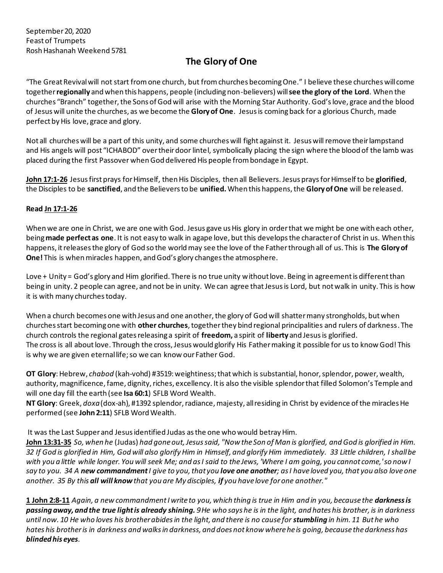## **The Glory of One**

"The Great Revival will not start from one church, but from churches becoming One." I believe these churches will come together **regionally** and when this happens, people (including non-believers) will **see the glory of the Lord**. When the churches "Branch" together, the Sons of God will arise with the Morning Star Authority. God's love, grace and the blood of Jesus will unite the churches, as we become the **Glory of One**. Jesus is coming back for a glorious Church, made perfect by His love, grace and glory.

Not all churches will be a part of this unity, and some churches will fight against it. Jesus will remove their lampstand and His angels will post "ICHABOD" over their door lintel, symbolically placing the sign where the blood of the lamb was placed during the first Passover when God delivered His people from bondage in Egypt.

**John 17:1-26** Jesus first prays for Himself, then His Disciples, then all Believers. Jesus prays for Himself to be **glorified**, the Disciples to be **sanctified**, and the Believers to be **unified.** When this happens, the **Glory of One** will be released.

## **Read Jn 17:1-26**

When we are one in Christ, we are one with God. Jesus gave us His glory in order that we might be one with each other, being **made perfect as one**. It is not easy to walk in agape love, but this develops the character of Christ in us. When this happens, it releases the glory of God so the world may see the love of the Father through all of us. This is **The Glory of One!** This is when miracles happen, and God's glory changes the atmosphere.

Love + Unity = God's glory and Him glorified. There is no true unity without love. Being in agreement is different than being in unity. 2 people can agree, and not be in unity. We can agree that Jesus is Lord, but not walk in unity. This is how it is with many churches today.

When a church becomes one with Jesus and one another, the glory of God will shatter many strongholds, but when churches start becoming one with **other churches**, together they bind regional principalities and rulers of darkness. The church controls the regional gates releasing a spirit of **freedom,** a spirit of **liberty** and Jesus is glorified. The cross is all about love. Through the cross, Jesus would glorify His Father making it possible for us to know God! This is why we are given eternal life; so we can know our Father God.

**OT Glory**: Hebrew, *chabod* (kah-vohd) #3519: weightiness; that which is substantial, honor, splendor, power, wealth, authority, magnificence, fame, dignity, riches, excellency. It is also the visible splendor that filled Solomon's Temple and will one day fill the earth (see **Isa 60:1**) SFLB Word Wealth.

**NT Glory**: Greek, *doxa*(dox-ah), #1392 splendor, radiance, majesty, all residing in Christ by evidence of the miracles He performed (see **John 2:11**) SFLB Word Wealth.

It was the Last Supper and Jesus identified Judas as the one who would betray Him.

**John 13:31-35** *So, when he* (Judas) *had gone out, Jesus said, "Now the Son of Man is glorified, and God is glorified in Him. 32 If God is glorified in Him, God will also glorify Him in Himself, and glorify Him immediately. 33 Little children, I shall be with you a little while longer. You will seek Me; and as I said to the Jews, 'Where I am going, you cannot come,' so now I say to you. 34 A new commandmentI give to you, that you love one another; as I have loved you, that you also love one another. 35 By this all will knowthat you are My disciples, if you have love for one another."* 

**1 John 2:8-11** *Again, a new commandment I write to you, which thing is true in Him and in you, because the darkness is passing away, and the true light is already shining. 9 He who says he is in the light, and hates his brother, is in darkness until now. 10 He who loves his brother abides in the light, and there is no cause for stumbling in him. 11 But he who hates his brother is in darkness and walks in darkness, and does not know where he is going, because the darkness has blinded his eyes.*